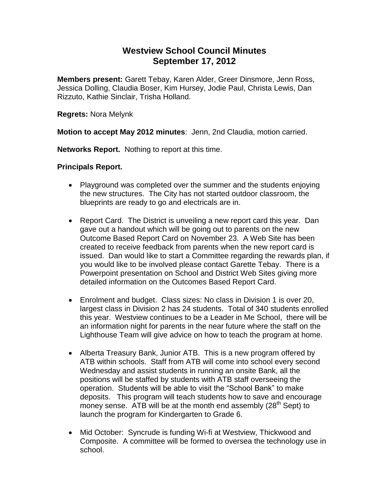# **Westview School Council Minutes September 17, 2012**

**Members present:** Garett Tebay, Karen Alder, Greer Dinsmore, Jenn Ross, Jessica Dolling, Claudia Boser, Kim Hursey, Jodie Paul, Christa Lewis, Dan Rizzuto, Kathie Sinclair, Trisha Holland.

**Regrets:** Nora Melynk

**Motion to accept May 2012 minutes**: Jenn, 2nd Claudia, motion carried.

**Networks Report.** Nothing to report at this time.

**Principals Report.** 

- Playground was completed over the summer and the students enjoying the new structures. The City has not started outdoor classroom, the blueprints are ready to go and electricals are in.
- Report Card. The District is unveiling a new report card this year. Dan gave out a handout which will be going out to parents on the new Outcome Based Report Card on November 23. A Web Site has been created to receive feedback from parents when the new report card is issued. Dan would like to start a Committee regarding the rewards plan, if you would like to be involved please contact Garette Tebay. There is a Powerpoint presentation on School and District Web Sites giving more detailed information on the Outcomes Based Report Card.
- Enrolment and budget. Class sizes: No class in Division 1 is over 20, largest class in Division 2 has 24 students. Total of 340 students enrolled this year. Westview continues to be a Leader in Me School, there will be an information night for parents in the near future where the staff on the Lighthouse Team will give advice on how to teach the program at home.
- Alberta Treasury Bank, Junior ATB. This is a new program offered by ATB within schools. Staff from ATB will come into school every second Wednesday and assist students in running an onsite Bank, all the positions will be staffed by students with ATB staff overseeing the operation. Students will be able to visit the "School Bank" to make deposits. This program will teach students how to save and encourage money sense. ATB will be at the month end assembly  $(28<sup>th</sup>$  Sept) to launch the program for Kindergarten to Grade 6.
- Mid October: Syncrude is funding Wi-fi at Westview, Thickwood and Composite. A committee will be formed to oversea the technology use in school.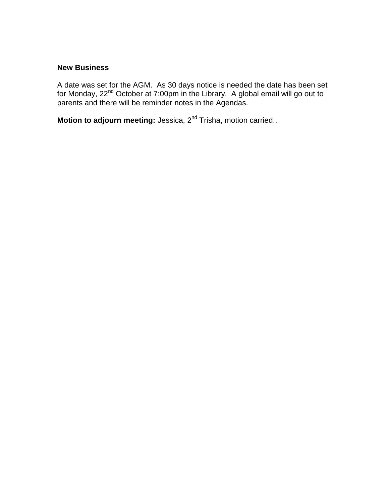### **New Business**

A date was set for the AGM. As 30 days notice is needed the date has been set for Monday, 22<sup>nd</sup> October at 7:00pm in the Library. A global email will go out to parents and there will be reminder notes in the Agendas.

**Motion to adjourn meeting:** Jessica, 2<sup>nd</sup> Trisha, motion carried..